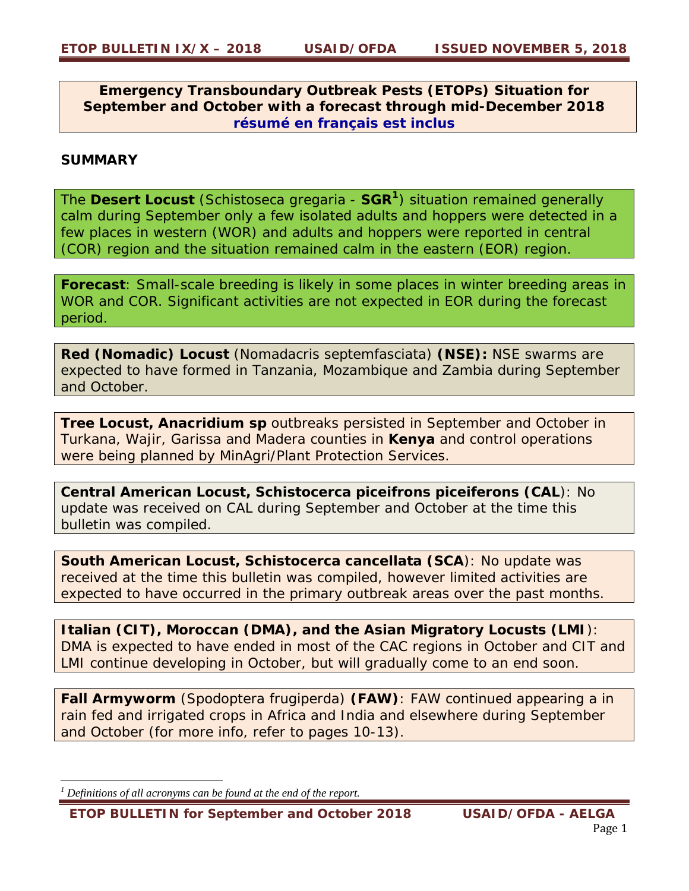**Emergency Transboundary Outbreak Pests (ETOPs) Situation for September and October with a forecast through mid-December 2018 résumé en français est inclus** 

# **SUMMARY**

The **Desert Locust** (*Schistoseca gregaria* - **SGR<sup>1</sup>**) situation remained generally calm during September only a few isolated adults and hoppers were detected in a few places in western (WOR) and adults and hoppers were reported in central (COR) region and the situation remained calm in the eastern (EOR) region.

**Forecast**: Small-scale breeding is likely in some places in winter breeding areas in WOR and COR. Significant activities are not expected in EOR during the forecast period.

**Red (Nomadic) Locust** (*Nomadacris septemfasciata*) **(NSE):** NSE swarms are expected to have formed in Tanzania, Mozambique and Zambia during September and October.

**Tree Locust,** *Anacridium sp* outbreaks persisted in September and October in Turkana, Wajir, Garissa and Madera counties in **Kenya** and control operations were being planned by MinAgri/Plant Protection Services.

**Central American Locust,** *Schistocerca piceifrons piceiferons* **(CAL**): No update was received on CAL during September and October at the time this bulletin was compiled.

**South American Locust,** *Schistocerca cancellata* **(SCA**): No update was received at the time this bulletin was compiled, however limited activities are expected to have occurred in the primary outbreak areas over the past months.

**Italian (***CIT***), Moroccan (***DMA***), and the Asian Migratory Locusts (***LMI*): DMA is expected to have ended in most of the CAC regions in October and CIT and LMI continue developing in October, but will gradually come to an end soon.

*Fall Armyworm (Spodoptera frugiperda) (FAW)*: FAW continued appearing a in rain fed and irrigated crops in Africa and India and elsewhere during September and October (for more info, refer to pages 10-13).

*<sup>1</sup> Definitions of all acronyms can be found at the end of the report.* 

*ETOP BULLETIN for September and October 2018 USAID/OFDA - AELGA*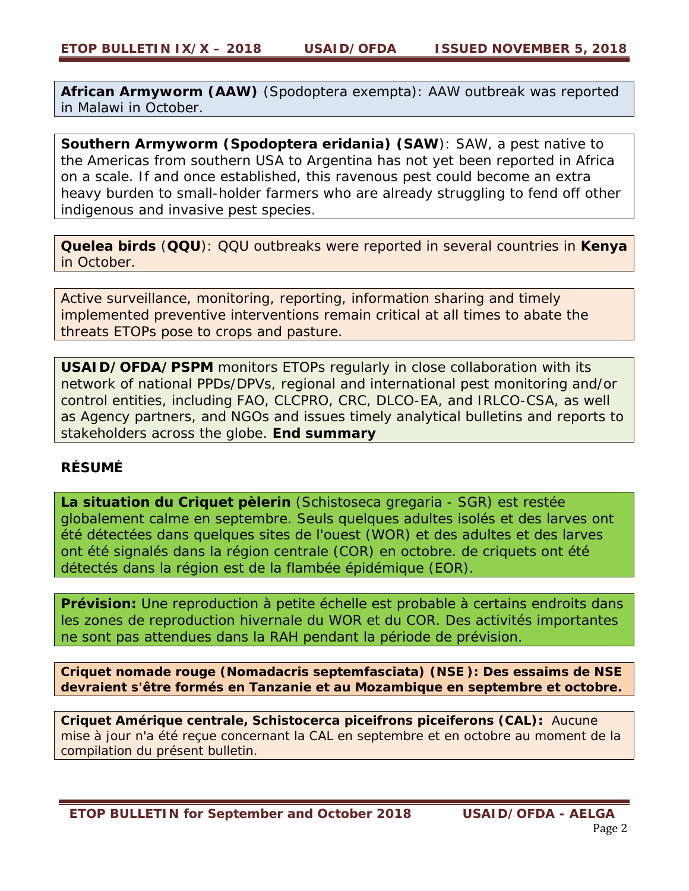**African Armyworm (AAW)** (*Spodoptera exempta*): AAW outbreak was reported in Malawi in October.

**Southern Armyworm (***Spodoptera eridania***) (SAW**): SAW, a pest native to the Americas from southern USA to Argentina has not yet been reported in Africa on a scale. If and once established, this ravenous pest could become an extra heavy burden to small-holder farmers who are already struggling to fend off other indigenous and invasive pest species.

**Quelea birds** (**QQU**): QQU outbreaks were reported in several countries in **Kenya**  in October.

*Active surveillance, monitoring, reporting, information sharing and timely implemented preventive interventions remain critical at all times to abate the threats ETOPs pose to crops and pasture.*

*USAID/OFDA/PSPM monitors ETOPs regularly in close collaboration with its network of national PPDs/DPVs, regional and international pest monitoring and/or control entities, including FAO, CLCPRO, CRC, DLCO-EA, and IRLCO-CSA, as well as Agency partners, and NGOs and issues timely analytical bulletins and reports to stakeholders across the globe. End summary* 

# **RÉSUMÉ**

**La situation du Criquet pèlerin** (*Schistoseca gregaria* - SGR) est restée globalement calme en septembre. Seuls quelques adultes isolés et des larves ont été détectées dans quelques sites de l'ouest (WOR) et des adultes et des larves ont été signalés dans la région centrale (COR) en octobre. de criquets ont été détectés dans la région est de la flambée épidémique (EOR).

**Prévision:** Une reproduction à petite échelle est probable à certains endroits dans les zones de reproduction hivernale du WOR et du COR. Des activités importantes ne sont pas attendues dans la RAH pendant la période de prévision.

**Criquet nomade rouge (***Nomadacris septemfasciata***) (NSE ): Des essaims de NSE devraient s'être formés en Tanzanie et au Mozambique en septembre et octobre.**

**Criquet Amérique centrale, Schistocerca piceifrons piceiferons (CAL):** Aucune mise à jour n'a été reçue concernant la CAL en septembre et en octobre au moment de la compilation du présent bulletin.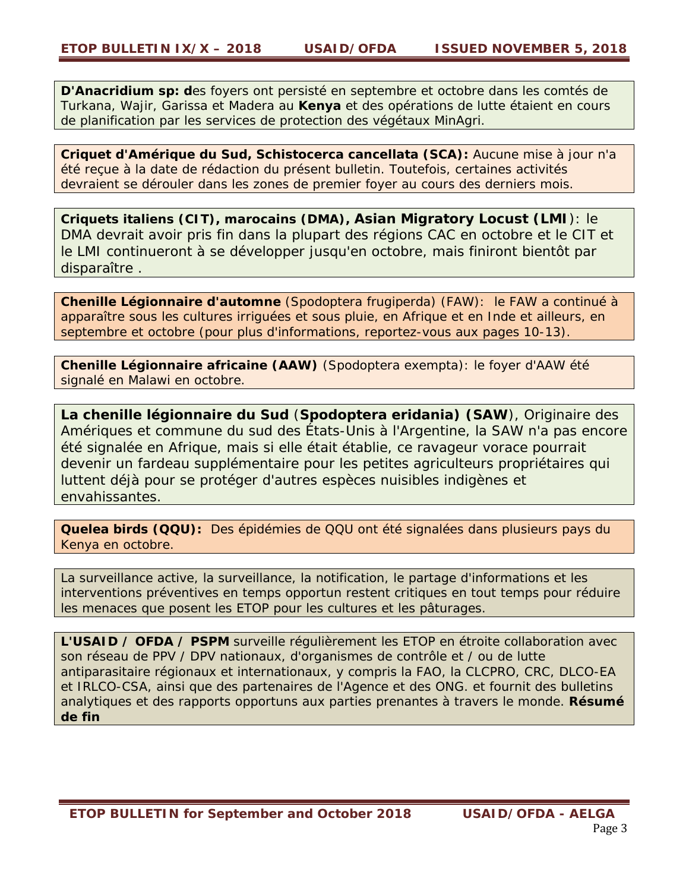**D'Anacridium sp: d**es foyers ont persisté en septembre et octobre dans les comtés de Turkana, Wajir, Garissa et Madera au **Kenya** et des opérations de lutte étaient en cours de planification par les services de protection des végétaux MinAgri.

**Criquet d'Amérique du Sud, Schistocerca cancellata (SCA):** Aucune mise à jour n'a été reçue à la date de rédaction du présent bulletin. Toutefois, certaines activités devraient se dérouler dans les zones de premier foyer au cours des derniers mois.

**Criquets italiens (CIT), marocains (DMA), Asian Migratory Locust (***LMI*): le DMA devrait avoir pris fin dans la plupart des régions CAC en octobre et le CIT et le LMI continueront à se développer jusqu'en octobre, mais finiront bientôt par disparaître .

**Chenille Légionnaire d'automne** (*Spodoptera frugiperda*) (FAW): le FAW a continué à apparaître sous les cultures irriguées et sous pluie, en Afrique et en Inde et ailleurs, en septembre et octobre (pour plus d'informations, reportez-vous aux pages 10-13).

**Chenille Légionnaire africaine (AAW)** (*Spodoptera exempta*): le foyer d'AAW été signalé en Malawi en octobre.

**La chenille légionnaire du Sud** (*Spodoptera eridania***) (SAW**), Originaire des Amériques et commune du sud des États-Unis à l'Argentine, la SAW n'a pas encore été signalée en Afrique, mais si elle était établie, ce ravageur vorace pourrait devenir un fardeau supplémentaire pour les petites agriculteurs propriétaires qui luttent déjà pour se protéger d'autres espèces nuisibles indigènes et envahissantes.

**Quelea birds (QQU):** Des épidémies de QQU ont été signalées dans plusieurs pays du Kenya en octobre.

La surveillance active, la surveillance, la notification, le partage d'informations et les interventions préventives en temps opportun restent critiques en tout temps pour réduire les menaces que posent les ETOP pour les cultures et les pâturages.

**L'USAID / OFDA / PSPM** surveille régulièrement les ETOP en étroite collaboration avec son réseau de PPV / DPV nationaux, d'organismes de contrôle et / ou de lutte antiparasitaire régionaux et internationaux, y compris la FAO, la CLCPRO, CRC, DLCO-EA et IRLCO-CSA, ainsi que des partenaires de l'Agence et des ONG. et fournit des bulletins analytiques et des rapports opportuns aux parties prenantes à travers le monde. **Résumé de fin**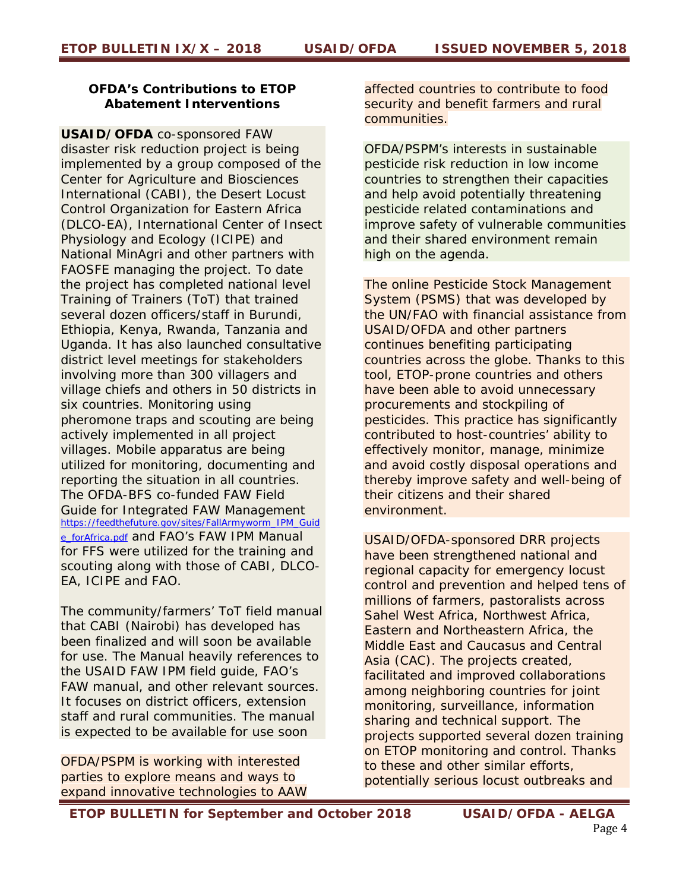## **OFDA's Contributions to ETOP Abatement Interventions**

**USAID/OFDA** co-sponsored FAW disaster risk reduction project is being implemented by a group composed of the Center for Agriculture and Biosciences International (CABI), the Desert Locust Control Organization for Eastern Africa (DLCO-EA), International Center of Insect Physiology and Ecology (ICIPE) and National MinAgri and other partners with FAOSFE managing the project. To date the project has completed national level Training of Trainers (ToT) that trained several dozen officers/staff in Burundi, Ethiopia, Kenya, Rwanda, Tanzania and Uganda. It has also launched consultative district level meetings for stakeholders involving more than 300 villagers and village chiefs and others in 50 districts in six countries. Monitoring using pheromone traps and scouting are being actively implemented in all project villages. Mobile apparatus are being utilized for monitoring, documenting and reporting the situation in all countries. The OFDA-BFS co-funded FAW Field Guide for Integrated FAW Management https://feedthefuture.gov/sites/FallArmyworm\_IPM\_Guid e\_forAfrica.pdf and FAO's FAW IPM Manual for FFS were utilized for the training and scouting along with those of CABI, DLCO-EA, ICIPE and FAO.

The community/farmers' ToT field manual that CABI (Nairobi) has developed has been finalized and will soon be available for use. The Manual heavily references to the USAID FAW IPM field guide, FAO's FAW manual, and other relevant sources. It focuses on district officers, extension staff and rural communities. The manual is expected to be available for use soon

*OFDA/PSPM is working with interested parties to explore means and ways to expand innovative technologies to AAW*  *affected countries to contribute to food security and benefit farmers and rural communities.* 

*OFDA/PSPM's interests in sustainable pesticide risk reduction in low income countries to strengthen their capacities and help avoid potentially threatening pesticide related contaminations and improve safety of vulnerable communities and their shared environment remain high on the agenda.* 

*The online Pesticide Stock Management System (PSMS) that was developed by the UN/FAO with financial assistance from USAID/OFDA and other partners continues benefiting participating countries across the globe. Thanks to this tool, ETOP-prone countries and others have been able to avoid unnecessary procurements and stockpiling of pesticides. This practice has significantly contributed to host-countries' ability to effectively monitor, manage, minimize and avoid costly disposal operations and thereby improve safety and well-being of their citizens and their shared environment.* 

*USAID/OFDA-sponsored DRR projects have been strengthened national and regional capacity for emergency locust control and prevention and helped tens of millions of farmers, pastoralists across Sahel West Africa, Northwest Africa, Eastern and Northeastern Africa, the Middle East and Caucasus and Central Asia (CAC). The projects created, facilitated and improved collaborations among neighboring countries for joint monitoring, surveillance, information sharing and technical support. The projects supported several dozen training on ETOP monitoring and control.* Thanks to these and other similar efforts, potentially serious locust outbreaks and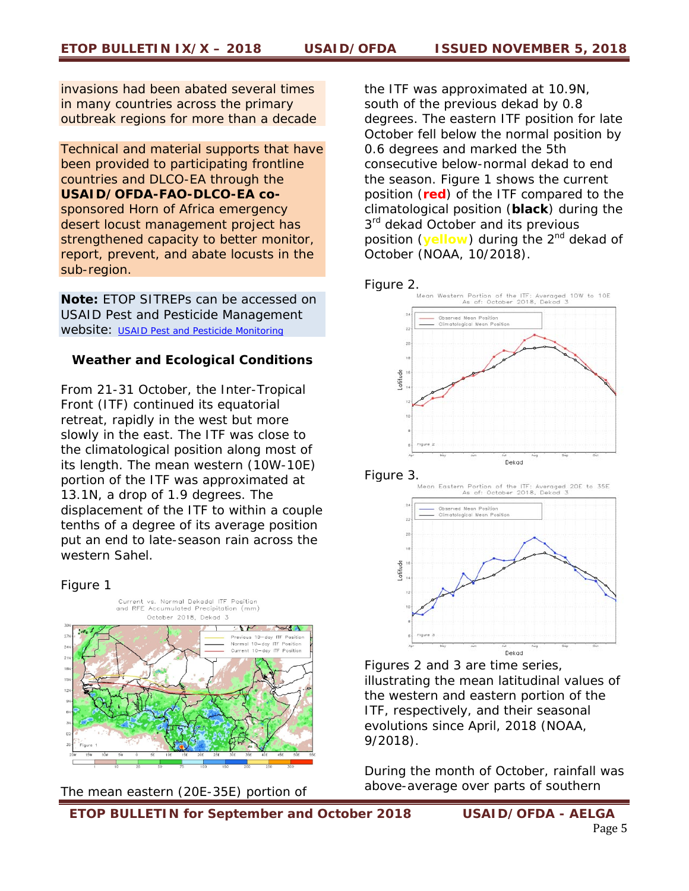invasions had been abated several times in many countries across the primary outbreak regions for more than a decade

*Technical and material supports that have been provided to participating frontline countries and DLCO-EA through the USAID/OFDA-FAO-DLCO-EA cosponsored Horn of Africa emergency desert locust management project has strengthened capacity to better monitor, report, prevent, and abate locusts in the sub-region.* 

*Note: ETOP SITREPs can be accessed on USAID Pest and Pesticide Management website: USAID Pest and Pesticide Monitoring*

#### **Weather and Ecological Conditions**

From 21-31 October, the Inter-Tropical Front (ITF) continued its equatorial retreat, rapidly in the west but more slowly in the east. The ITF was close to the climatological position along most of its length. The mean western (10W-10E) portion of the ITF was approximated at 13.1N, a drop of 1.9 degrees. The displacement of the ITF to within a couple tenths of a degree of its average position put an end to late-season rain across the western Sahel.

#### Figure 1



The mean eastern (20E-35E) portion of

the ITF was approximated at 10.9N, south of the previous dekad by 0.8 degrees. The eastern ITF position for late October fell below the normal position by 0.6 degrees and marked the 5th consecutive below-normal dekad to end the season. Figure 1 shows the current position (**red**) of the ITF compared to the climatological position (**black**) during the 3<sup>rd</sup> dekad October and its previous position (**yellow**) during the 2<sup>nd</sup> dekad of October (NOAA, 10/2018).



Figure 3.



Figures 2 and 3 are time series, illustrating the mean latitudinal values of the western and eastern portion of the ITF, respectively, and their seasonal evolutions since April, 2018 (NOAA, 9/2018).

*During the month of October, rainfall was above-average over parts of southern*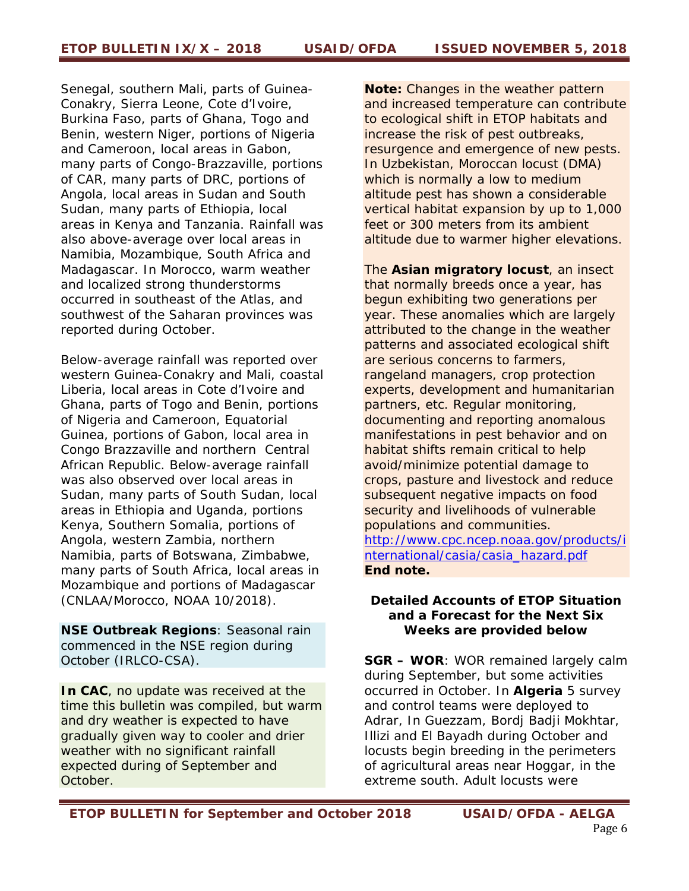*Senegal, southern Mali, parts of Guinea-Conakry, Sierra Leone, Cote d'Ivoire, Burkina Faso, parts of Ghana, Togo and Benin, western Niger, portions of Nigeria and Cameroon, local areas in Gabon, many parts of Congo-Brazzaville, portions of CAR, many parts of DRC, portions of Angola, local areas in Sudan and South Sudan, many parts of Ethiopia, local areas in Kenya and Tanzania. Rainfall was also above-average over local areas in Namibia, Mozambique, South Africa and Madagascar. In Morocco, warm weather and localized strong thunderstorms occurred in southeast of the Atlas, and southwest of the Saharan provinces was reported during October.* 

*Below-average rainfall was reported over western Guinea-Conakry and Mali, coastal Liberia, local areas in Cote d'Ivoire and Ghana, parts of Togo and Benin, portions of Nigeria and Cameroon, Equatorial Guinea, portions of Gabon, local area in Congo Brazzaville and northern Central African Republic. Below-average rainfall was also observed over local areas in Sudan, many parts of South Sudan, local areas in Ethiopia and Uganda, portions Kenya, Southern Somalia, portions of Angola, western Zambia, northern Namibia, parts of Botswana, Zimbabwe, many parts of South Africa, local areas in Mozambique and portions of Madagascar (CNLAA/Morocco, NOAA 10/2018).* 

*NSE Outbreak Regions*: Seasonal rain commenced in the NSE region during October (IRLCO-CSA).

*In CAC*, no update was received at the time this bulletin was compiled, but warm and dry weather is expected to have gradually given way to cooler and drier weather with no significant rainfall expected during of September and October.

*Note: Changes in the weather pattern and increased temperature can contribute to ecological shift in ETOP habitats and increase the risk of pest outbreaks, resurgence and emergence of new pests. In Uzbekistan, Moroccan locust (DMA) which is normally a low to medium altitude pest has shown a considerable vertical habitat expansion by up to 1,000 feet or 300 meters from its ambient altitude due to warmer higher elevations.* 

*The Asian migratory locust, an insect that normally breeds once a year, has begun exhibiting two generations per year. These anomalies which are largely attributed to the change in the weather patterns and associated ecological shift are serious concerns to farmers, rangeland managers, crop protection experts, development and humanitarian partners, etc. Regular monitoring, documenting and reporting anomalous manifestations in pest behavior and on habitat shifts remain critical to help avoid/minimize potential damage to crops, pasture and livestock and reduce subsequent negative impacts on food security and livelihoods of vulnerable populations and communities. http://www.cpc.ncep.noaa.gov/products/i nternational/casia/casia\_hazard.pdf End note.*

### **Detailed Accounts of ETOP Situation and a Forecast for the Next Six Weeks are provided below**

**SGR – WOR**: WOR remained largely calm during September, but some activities occurred in October. In **Algeria** 5 survey and control teams were deployed to Adrar, In Guezzam, Bordj Badji Mokhtar, Illizi and El Bayadh during October and locusts begin breeding in the perimeters of agricultural areas near Hoggar, in the extreme south. Adult locusts were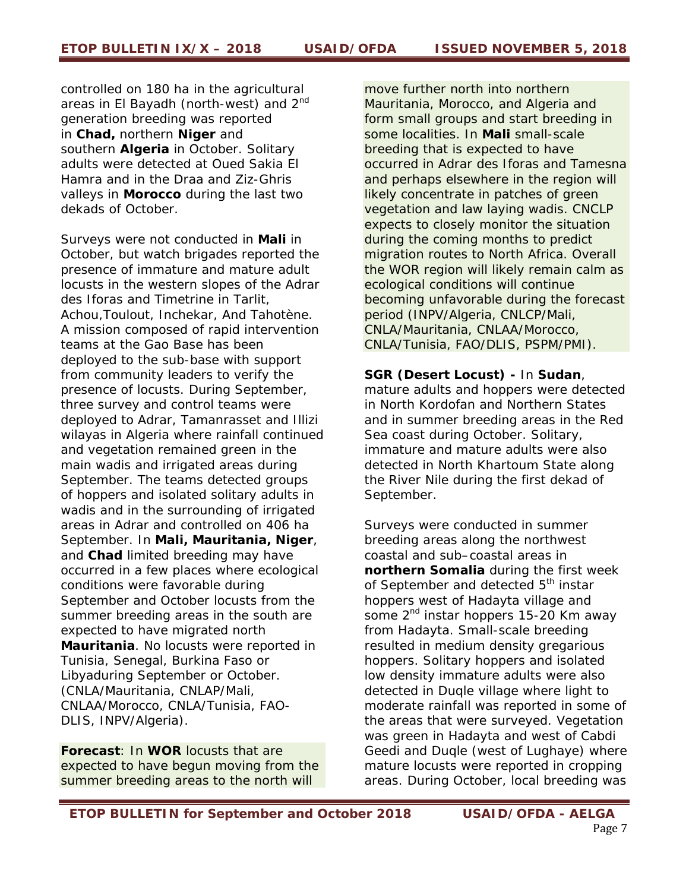controlled on 180 ha in the agricultural areas in El Bayadh (north-west) and 2<sup>nd</sup> generation breeding was reported in **Chad,** northern **Niger** and southern **Algeria** in October. Solitary adults were detected at Oued Sakia El Hamra and in the Draa and Ziz-Ghris valleys in **Morocco** during the last two dekads of October.

Surveys were not conducted in **Mali** in October, but watch brigades reported the presence of immature and mature adult locusts in the western slopes of the Adrar des Iforas and Timetrine in Tarlit, Achou,Toulout, Inchekar, And Tahotène. A mission composed of rapid intervention teams at the Gao Base has been deployed to the sub-base with support from community leaders to verify the presence of locusts. During September, three survey and control teams were deployed to Adrar, Tamanrasset and Illizi wilayas in Algeria where rainfall continued and vegetation remained green in the main wadis and irrigated areas during September. The teams detected groups of hoppers and isolated solitary adults in wadis and in the surrounding of irrigated areas in Adrar and controlled on 406 ha September. In **Mali, Mauritania, Niger**, and **Chad** limited breeding may have occurred in a few places where ecological conditions were favorable during September and October locusts from the summer breeding areas in the south are expected to have migrated north **Mauritania**. No locusts were reported in Tunisia, Senegal, Burkina Faso or Libyaduring September or October. (CNLA/Mauritania, CNLAP/Mali, CNLAA/Morocco, CNLA/Tunisia, FAO-DLIS, INPV/Algeria).

**Forecast**: In **WOR** locusts that are expected to have begun moving from the summer breeding areas to the north will

move further north into northern Mauritania, Morocco, and Algeria and form small groups and start breeding in some localities. In **Mali** small-scale breeding that is expected to have occurred in Adrar des Iforas and Tamesna and perhaps elsewhere in the region will likely concentrate in patches of green vegetation and law laying wadis. CNCLP expects to closely monitor the situation during the coming months to predict migration routes to North Africa. Overall the WOR region will likely remain calm as ecological conditions will continue becoming unfavorable during the forecast period (INPV/Algeria, CNLCP/Mali, CNLA/Mauritania, CNLAA/Morocco, CNLA/Tunisia, FAO/DLIS, PSPM/PMI).

### **SGR (Desert Locust) -** In **Sudan**,

mature adults and hoppers were detected in North Kordofan and Northern States and in summer breeding areas in the Red Sea coast during October. Solitary, immature and mature adults were also detected in North Khartoum State along the River Nile during the first dekad of September.

Surveys were conducted in summer breeding areas along the northwest coastal and sub–coastal areas in **northern Somalia** during the first week of September and detected 5<sup>th</sup> instar hoppers west of Hadayta village and some 2<sup>nd</sup> instar hoppers 15-20 Km away from Hadayta. Small-scale breeding resulted in medium density gregarious hoppers. Solitary hoppers and isolated low density immature adults were also detected in Duqle village where light to moderate rainfall was reported in some of the areas that were surveyed. Vegetation was green in Hadayta and west of Cabdi Geedi and Duqle (west of Lughaye) where mature locusts were reported in cropping areas. During October, local breeding was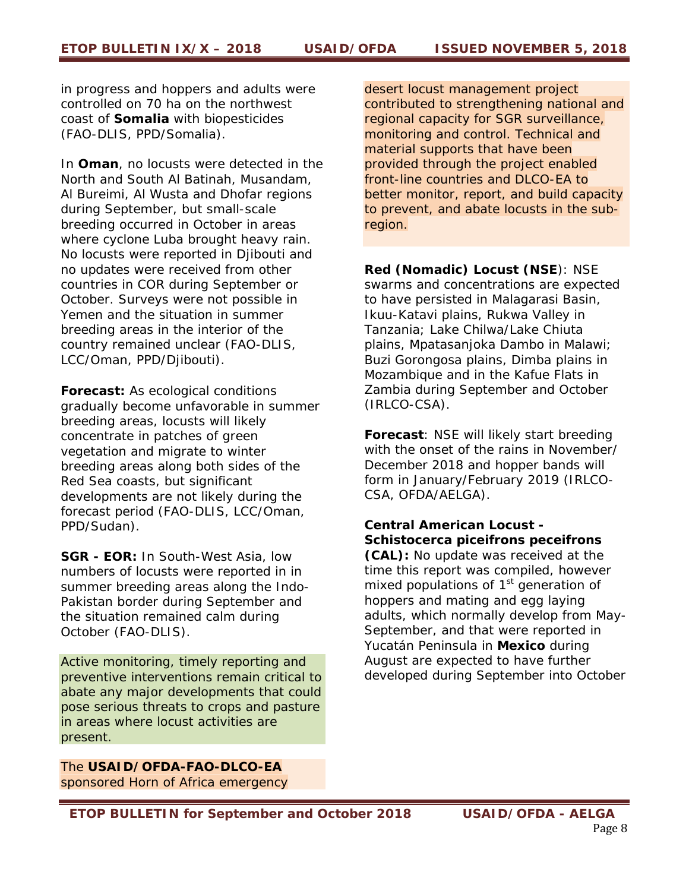in progress and hoppers and adults were controlled on 70 ha on the northwest coast of **Somalia** with biopesticides (FAO-DLIS, PPD/Somalia).

In **Oman**, no locusts were detected in the North and South Al Batinah, Musandam, Al Bureimi, Al Wusta and Dhofar regions during September, but small-scale breeding occurred in October in areas where cyclone Luba brought heavy rain. No locusts were reported in Djibouti and no updates were received from other countries in COR during September or October. Surveys were not possible in Yemen and the situation in summer breeding areas in the interior of the country remained unclear (FAO-DLIS, LCC/Oman, PPD/Djibouti).

**Forecast:** As ecological conditions gradually become unfavorable in summer breeding areas, locusts will likely concentrate in patches of green vegetation and migrate to winter breeding areas along both sides of the Red Sea coasts, but significant developments are not likely during the forecast period (FAO-DLIS, LCC/Oman, PPD/Sudan).

**SGR - EOR:** In South-West Asia, low numbers of locusts were reported in in summer breeding areas along the Indo-Pakistan border during September and the situation remained calm during October (FAO-DLIS).

*Active monitoring, timely reporting and preventive interventions remain critical to abate any major developments that could pose serious threats to crops and pasture in areas where locust activities are present.* 

*The USAID/OFDA-FAO-DLCO-EA sponsored Horn of Africa emergency*  *desert locust management project contributed to strengthening national and regional capacity for SGR surveillance, monitoring and control. Technical and material supports that have been provided through the project enabled front-line countries and DLCO-EA to better monitor, report, and build capacity to prevent, and abate locusts in the subregion.*

**Red (Nomadic) Locust (NSE**): NSE swarms and concentrations are expected to have persisted in Malagarasi Basin, Ikuu-Katavi plains, Rukwa Valley in Tanzania; Lake Chilwa/Lake Chiuta plains, Mpatasanjoka Dambo in Malawi; Buzi Gorongosa plains, Dimba plains in Mozambique and in the Kafue Flats in Zambia during September and October (IRLCO-CSA).

**Forecast**: NSE will likely start breeding with the onset of the rains in November/ December 2018 and hopper bands will form in January/February 2019 (IRLCO-CSA, OFDA/AELGA).

# *Central American Locust - Schistocerca piceifrons peceifrons*

*(CAL):* No update was received at the time this report was compiled, however mixed *populations of 1st generation of hoppers and mating and egg laying adults, which normally develop from May-September, and that were reported in*  Yucatán Peninsula in **Mexico** during August are expected to have further developed during September into October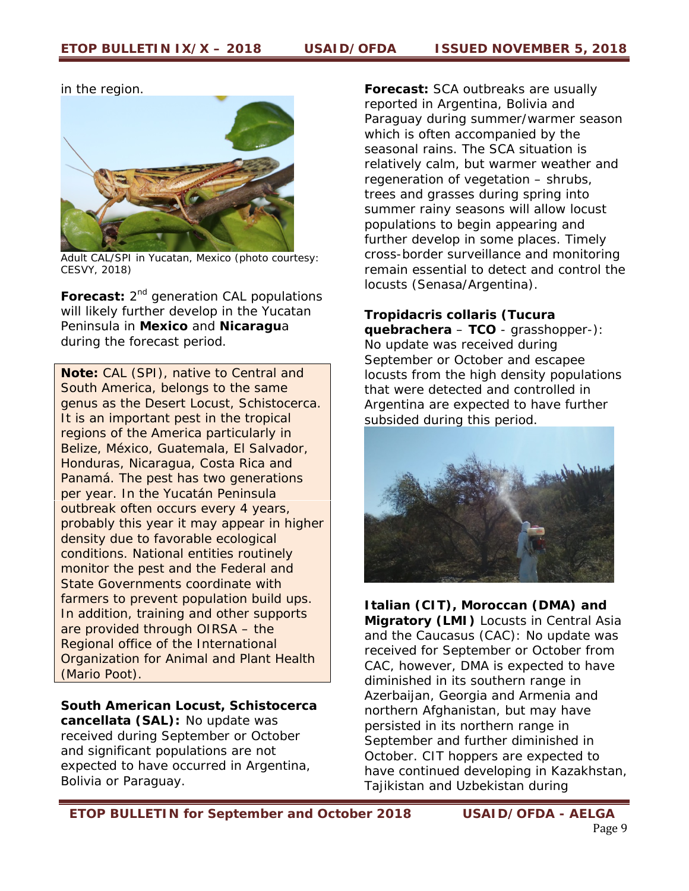in the region.



Adult CAL/SPI in Yucatan, Mexico (photo courtesy: CESVY, 2018)

**Forecast:** 2<sup>nd</sup> generation CAL populations will likely further develop in the Yucatan Peninsula in **Mexico** and **Nicaragu**a during the forecast period.

*Note: CAL (SPI), native to Central and South America, belongs to the same genus as the Desert Locust, Schistocerca. It is an important pest in the tropical regions of the America particularly in Belize, México, Guatemala, El Salvador, Honduras, Nicaragua, Costa Rica and Panamá. The pest has two generations per year. In the Yucatán Peninsula outbreak often occurs every 4 years, probably this year it may appear in higher density due to favorable ecological conditions. National entities routinely monitor the pest and the Federal and State Governments coordinate with farmers to prevent population build ups. In addition, training and other supports are provided through OIRSA – the Regional office of the International Organization for Animal and Plant Health (Mario Poot).* 

*South American Locust, Schistocerca cancellata (SAL):* No update was received during September or October and significant populations are not expected to have occurred in Argentina, Bolivia or Paraguay.

**Forecast:** *SCA outbreaks are usually reported in Argentina, Bolivia and Paraguay during summer/warmer season which is often accompanied by the seasonal rains. The SCA situation is relatively calm, but warmer weather and regeneration of vegetation – shrubs, trees and grasses during spring into summer rainy seasons will allow locust populations to begin appearing and further develop in some places.* Timely cross-border surveillance and monitoring remain essential to detect and control the locusts (Senasa/Argentina).

# *Tropidacris collaris* **(Tucura**

**quebrachera** – **TCO** - grasshopper-): No update was received during September or October and escapee locusts from the high density populations that were detected and controlled in Argentina are expected to have further subsided during this period.



**Italian (CIT), Moroccan (DMA) and Migratory (LMI)** Locusts in Central Asia and the Caucasus (CAC): No update was received for September or October from CAC, however, DMA is expected to have diminished in its southern range in Azerbaijan, Georgia and Armenia and northern Afghanistan, but may have persisted in its northern range in September and further diminished in October. CIT hoppers are expected to have continued developing in Kazakhstan, Tajikistan and Uzbekistan during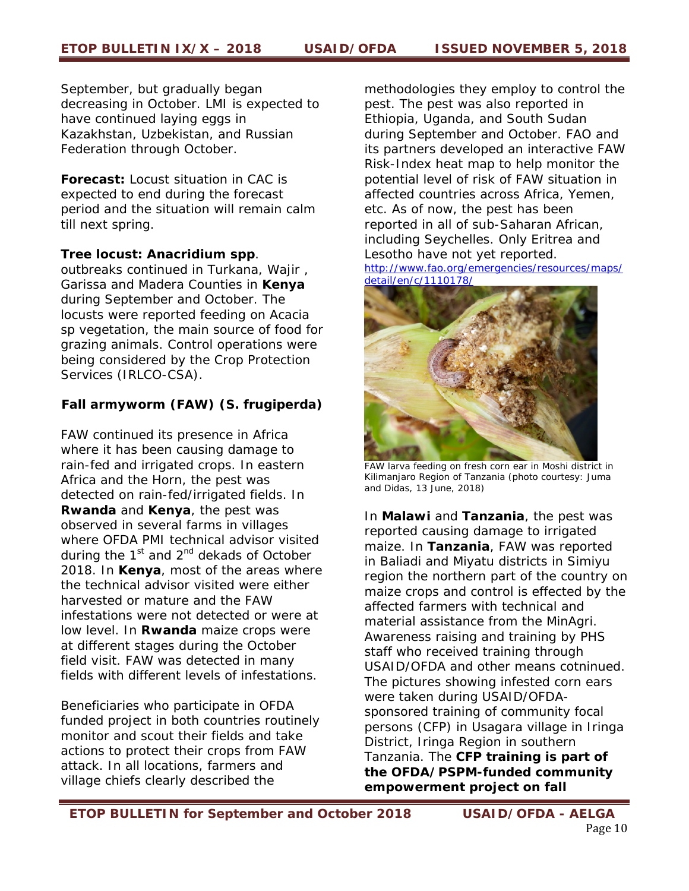September, but gradually began decreasing in October. LMI is expected to have continued laying eggs in Kazakhstan, Uzbekistan, and Russian Federation through October.

**Forecast:** Locust situation in CAC is expected to end during the forecast period and the situation will remain calm till next spring.

### **Tree locust:** *Anacridium spp*.

outbreaks continued in Turkana, Wajir , Garissa and Madera Counties in **Kenya**  during September and October. The locusts were reported feeding on *Acacia* sp vegetation, the main source of food for grazing animals. Control operations were being considered by the Crop Protection Services (IRLCO-CSA).

# *Fall armyworm (FAW) (S. frugiperda)*

FAW continued its presence in Africa where it has been causing damage to rain-fed and irrigated crops. In eastern Africa and the Horn, the pest was detected on rain-fed/irrigated fields. In **Rwanda** and **Kenya**, the pest was observed in several farms in villages where OFDA PMI technical advisor visited during the  $1<sup>st</sup>$  and  $2<sup>nd</sup>$  dekads of October 2018. In **Kenya**, most of the areas where the technical advisor visited were either harvested or mature and the FAW infestations were not detected or were at low level. In **Rwanda** maize crops were at different stages during the October field visit. FAW was detected in many fields with different levels of infestations.

Beneficiaries who participate in OFDA funded project in both countries routinely monitor and scout their fields and take actions to protect their crops from FAW attack. In all locations, farmers and village chiefs clearly described the

methodologies they employ to control the pest. The pest was also reported in Ethiopia, Uganda, and South Sudan during September and October. FAO and its partners developed an interactive FAW Risk-Index heat map to help monitor the potential level of risk of FAW situation in affected countries across Africa, Yemen, etc. As of now, the pest has been reported in all of sub-Saharan African, including Seychelles. Only Eritrea and Lesotho have not yet reported.

http://www.fao.org/emergencies/resources/maps/ detail/en/c/1110178/



FAW larva feeding on fresh corn ear in Moshi district in Kilimanjaro Region of Tanzania (photo courtesy: Juma and Didas, 13 June, 2018)

In **Malawi** and **Tanzania**, the pest was reported causing damage to irrigated maize. In **Tanzania**, FAW was reported in Baliadi and Miyatu districts in Simiyu region the northern part of the country on maize crops and control is effected by the affected farmers with technical and material assistance from the MinAgri. Awareness raising and training by PHS staff who received training through USAID/OFDA and other means cotninued. The pictures showing infested corn ears were taken during USAID/OFDAsponsored training of community focal persons (CFP) in Usagara village in Iringa District, Iringa Region in southern Tanzania. The **CFP training is part of the OFDA/PSPM-funded community empowerment project on fall**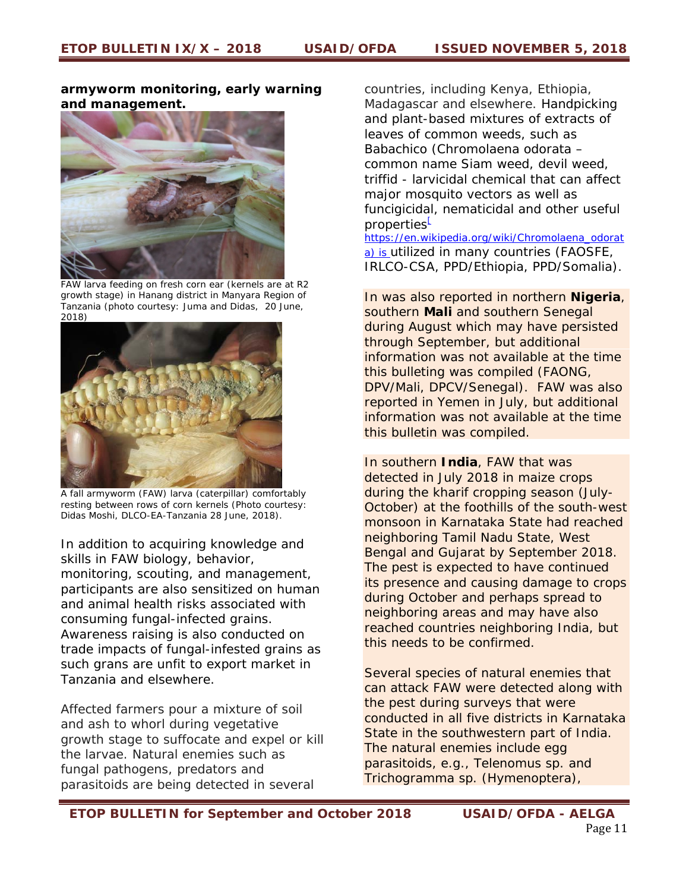#### **armyworm monitoring, early warning and management.**



FAW larva feeding on fresh corn ear (kernels are at R2 growth stage) in Hanang district in Manyara Region of Tanzania (photo courtesy: Juma and Didas, 20 June, 2018)



 A fall armyworm (FAW) larva (caterpillar) comfortably resting between rows of corn kernels (Photo courtesy: Didas Moshi, DLCO-EA-Tanzania 28 June, 2018).

In addition to acquiring knowledge and skills in FAW biology, behavior, monitoring, scouting, and management, participants are also sensitized on human and animal health risks associated with consuming fungal-infected grains. Awareness raising is also conducted on trade impacts of fungal-infested grains as such grans are unfit to export market in Tanzania and elsewhere.

Affected farmers pour a mixture of soil and ash to whorl during vegetative growth stage to suffocate and expel or kill the larvae. Natural enemies such as fungal pathogens, predators and parasitoids are being detected in several

countries, including Kenya, Ethiopia, Madagascar and elsewhere. Handpicking and plant-based mixtures of extracts of leaves of common weeds, such as Babachico (*Chromolaena odorata – common name Siam weed, devil weed, triffid -* larvicidal chemical that can affect major mosquito vectors as well as funcigicidal, nematicidal and other useful properties<sup>L</sup>

https://en.wikipedia.org/wiki/Chromolaena\_odorat a) is utilized in many countries (FAOSFE, IRLCO-CSA, PPD/Ethiopia, PPD/Somalia).

In was also reported in northern **Nigeria**, southern **Mali** and southern Senegal during August which may have persisted through September, but additional information was not available at the time this bulleting was compiled (FAONG, DPV/Mali, DPCV/Senegal). FAW was also reported in Yemen in July, but additional information was not available at the time this bulletin was compiled.

In southern **India**, FAW that was detected in July 2018 in maize crops during the kharif cropping season (July-October) at the foothills of the south-west monsoon in Karnataka State had reached neighboring Tamil Nadu State, West Bengal and Gujarat by September 2018. The pest is expected to have continued its presence and causing damage to crops during October and perhaps spread to neighboring areas and may have also reached countries neighboring India, but this needs to be confirmed.

Several species of natural enemies that can attack FAW were detected along with the pest during surveys that were conducted in all five districts in Karnataka State in the southwestern part of India. The natural enemies include egg parasitoids, e.g., *Telenomus sp*. and *Trichogramma sp*. (Hymenoptera),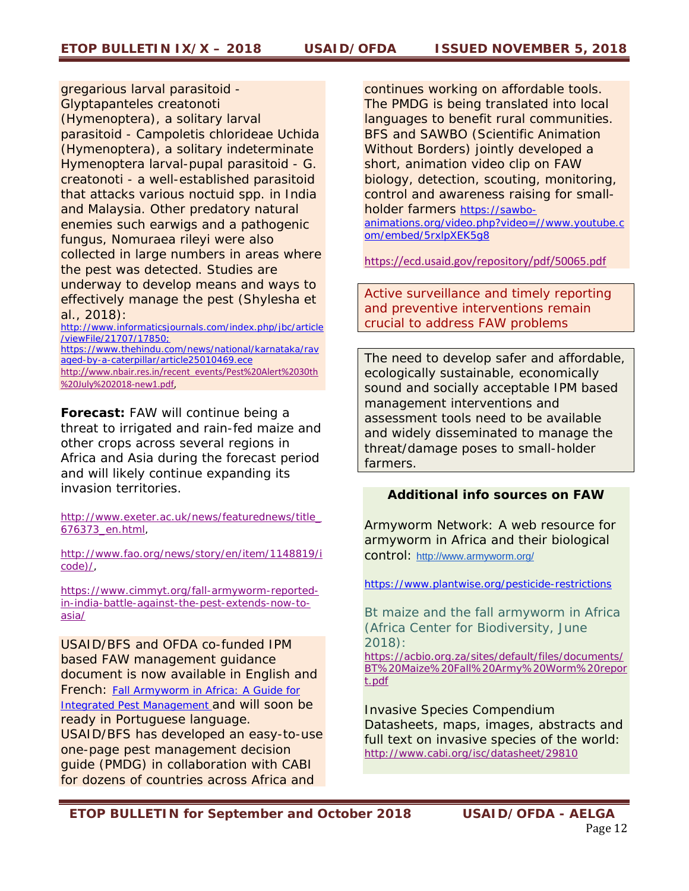gregarious larval parasitoid - *Glyptapanteles creatonoti (*Hymenoptera), a solitary larval parasitoid - *Campoletis chlorideae Uchida*  (Hymenoptera), a solitary indeterminate Hymenoptera larval-pupal parasitoid - *G. creatonoti -* a well-established parasitoid that attacks various *noctuid spp.* in India and Malaysia. Other predatory natural enemies such earwigs and a pathogenic fungus, *Nomuraea rileyi* were also collected in large numbers in areas where the pest was detected. Studies are underway to develop means and ways to effectively manage the pest (Shylesha et al., 2018):

http://www.informaticsjournals.com/index.php/jbc/article /viewFile/21707/17850; https://www.thehindu.com/news/national/karnataka/rav aged-by-a-caterpillar/article25010469.ece http://www.nbair.res.in/recent\_events/Pest%20Alert%2030th %20July%202018‐new1.pdf,

**Forecast:** FAW will continue being a threat to irrigated and rain-fed maize and other crops across several regions in Africa and Asia during the forecast period and will likely continue expanding its invasion territories.

http://www.exeter.ac.uk/news/featurednews/title\_ 676373\_en.html,

http://www.fao.org/news/story/en/item/1148819/i code)/,

https://www.cimmyt.org/fall-armyworm-reportedin-india-battle-against-the-pest-extends-now-toasia/

USAID/BFS and OFDA co-funded IPM based FAW management guidance document is now available in English and French: Fall Armyworm in Africa: A Guide for Integrated Pest Management and will soon be ready in Portuguese language. USAID/BFS has developed an easy-to-use one-page pest management decision guide (PMDG) in collaboration with CABI for dozens of countries across Africa and

continues working on affordable tools. The PMDG is being translated into local languages to benefit rural communities. BFS and SAWBO (Scientific Animation Without Borders) jointly developed a short, animation video clip on FAW biology, detection, scouting, monitoring, control and awareness raising for smallholder farmers *https://sawboanimations.org/video.php?video=//www.youtube.c*

*om/embed/5rxlpXEK5g8*

https://ecd.usaid.gov/repository/pdf/50065.pdf

*Active surveillance and timely reporting and preventive interventions remain crucial to address FAW problems* 

*The need to develop safer and affordable, ecologically sustainable, economically sound and socially acceptable IPM based management interventions and assessment tools need to be available and widely disseminated to manage the threat/damage poses to small-holder farmers.* 

#### *Additional info sources on FAW*

*Armyworm Network: A web resource for armyworm in Africa and their biological control:* http://www.armyworm.org/

*https://www.plantwise.org/pesticide-restrictions* 

*Bt maize and the fall armyworm in Africa (Africa Center for Biodiversity, June 2018):* 

*https://acbio.org.za/sites/default/files/documents/ BT%20Maize%20Fall%20Army%20Worm%20repor t.pdf*

*Invasive Species Compendium Datasheets, maps, images, abstracts and full text on invasive species of the world: http://www.cabi.org/isc/datasheet/29810*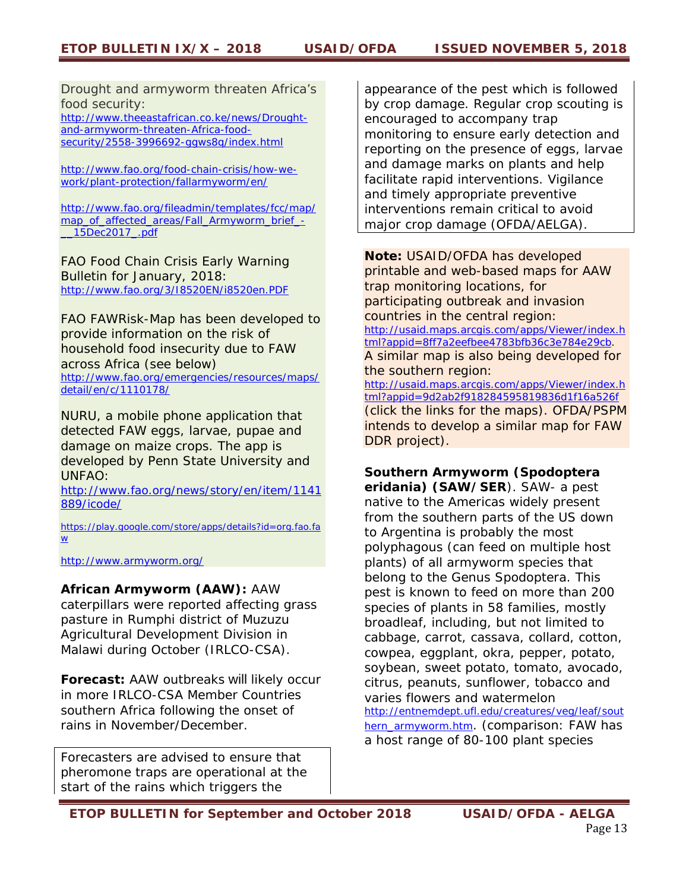*Drought and armyworm threaten Africa's food security: http://www.theeastafrican.co.ke/news/Drought-*

*and-armyworm-threaten-Africa-foodsecurity/2558-3996692-ggws8q/index.html* 

*http://www.fao.org/food-chain-crisis/how-wework/plant-protection/fallarmyworm/en/* 

*http://www.fao.org/fileadmin/templates/fcc/map/ map\_of\_affected\_areas/Fall\_Armyworm\_brief\_- \_\_15Dec2017\_.pdf*

FAO Food Chain Crisis Early Warning Bulletin for January, 2018: *http://www.fao.org/3/I8520EN/i8520en.PDF* 

FAO FAWRisk-Map has been developed to provide information on the risk of household food insecurity due to FAW across Africa (see below) *http://www.fao.org/emergencies/resources/maps/ detail/en/c/1110178/* 

NURU, a mobile phone application that detected FAW eggs, larvae, pupae and damage on maize crops. The app is developed by Penn State University and UNFAO:

*http://www.fao.org/news/story/en/item/1141 889/icode/* 

*https://play.google.com/store/apps/details?id=org.fao.fa w* 

*http://www.armyworm.org/* 

### **African Armyworm (AAW):** AAW

caterpillars were reported affecting grass pasture in Rumphi district of Muzuzu Agricultural Development Division in Malawi during October (IRLCO-CSA).

**Forecast:** AAW outbreaks will likely occur in more IRLCO-CSA Member Countries southern Africa following the onset of rains in November/December.

*Forecasters are advised to ensure that pheromone traps are operational at the start of the rains which triggers the* 

*appearance of the pest which is followed by crop damage. Regular crop scouting is encouraged to accompany trap monitoring to ensure early detection and reporting on the presence of eggs, larvae and damage marks on plants and help facilitate rapid interventions. Vigilance and timely appropriate preventive interventions remain critical to avoid major crop damage (OFDA/AELGA).* 

**Note:** USAID/OFDA has developed printable and web-based maps for AAW trap monitoring locations, for participating outbreak and invasion countries in the central region: http://usaid.maps.arcgis.com/apps/Viewer/index.h tml?appid=8ff7a2eefbee4783bfb36c3e784e29cb. A similar map is also being developed for the southern region: http://usaid.maps.arcgis.com/apps/Viewer/index.h tml?appid=9d2ab2f918284595819836d1f16a526f (click the links for the maps). OFDA/PSPM

intends to develop a similar map for FAW DDR project).

# **Southern Armyworm (***Spodoptera*

*eridania***) (SAW/SER**). SAW- a *pest native to the Americas widely present from the southern parts of the US down to Argentina is probably the most polyphagous (can feed on multiple host plants) of all armyworm species that belong to the Genus Spodoptera. This pest is known to feed on more than 200 species of plants in 58 families, mostly broadleaf, including, but not limited to cabbage, carrot, cassava, collard, cotton, cowpea, eggplant, okra, pepper, potato, soybean, sweet potato, tomato, avocado, citrus, peanuts, sunflower, tobacco and varies flowers and watermelon*  http://entnemdept.ufl.edu/creatures/veg/leaf/sout hern\_armyworm.htm. *(comparison: FAW has a host range of 80-100 plant species*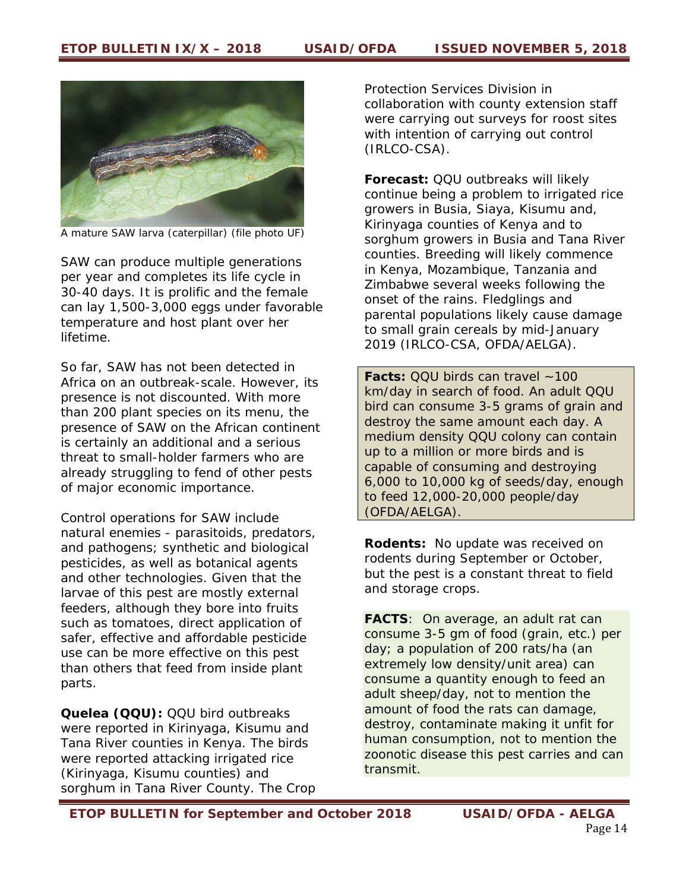

A mature SAW larva (caterpillar) (file photo UF)

*SAW can produce multiple generations per year and completes its life cycle in 30-40 days. It is prolific and the female can lay 1,500-3,000 eggs under favorable temperature and host plant over her lifetime.* 

So far, SAW has not been detected in Africa on an outbreak-scale. However, its presence is not discounted. With more than 200 plant species on its menu, the presence of SAW on the African continent is certainly an additional and a serious threat to small-holder farmers who are already struggling to fend of other pests of major economic importance.

Control operations for SAW include natural enemies - parasitoids, predators, and pathogens; synthetic and biological pesticides, as well as botanical agents and other technologies. Given that the larvae of this pest are mostly external feeders, although they bore into fruits such as tomatoes, direct application of safer, effective and affordable pesticide use can be more effective on this pest than others that feed from inside plant parts.

*Quelea* **(QQU):** QQU bird outbreaks were reported in Kirinyaga, Kisumu and Tana River counties in Kenya. The birds were reported attacking irrigated rice (Kirinyaga, Kisumu counties) and sorghum in Tana River County. The Crop Protection Services Division in collaboration with county extension staff were carrying out surveys for roost sites with intention of carrying out control (IRLCO-CSA).

**Forecast:** QQU outbreaks will likely continue being a problem to irrigated rice growers in Busia, Siaya, Kisumu and, Kirinyaga counties of Kenya and to sorghum growers in Busia and Tana River counties. Breeding will likely commence in Kenya, Mozambique, Tanzania and Zimbabwe several weeks following the onset of the rains. Fledglings and parental populations likely cause damage to small grain cereals by mid-January 2019 (IRLCO-CSA, OFDA/AELGA).

*Facts: QQU birds can travel ~100 km/day in search of food. An adult QQU bird can consume 3-5 grams of grain and destroy the same amount each day. A medium density QQU colony can contain up to a million or more birds and is capable of consuming and destroying 6,000 to 10,000 kg of seeds/day, enough to feed 12,000-20,000 people/day* (OFDA/AELGA).

**Rodents:** No update was received on rodents during September or October, but the pest is a constant threat to field and storage crops.

*FACTS: On average, an adult rat can consume 3-5 gm of food (grain, etc.) per day; a population of 200 rats/ha (an extremely low density/unit area) can consume a quantity enough to feed an adult sheep/day, not to mention the amount of food the rats can damage, destroy, contaminate making it unfit for human consumption, not to mention the zoonotic disease this pest carries and can transmit.*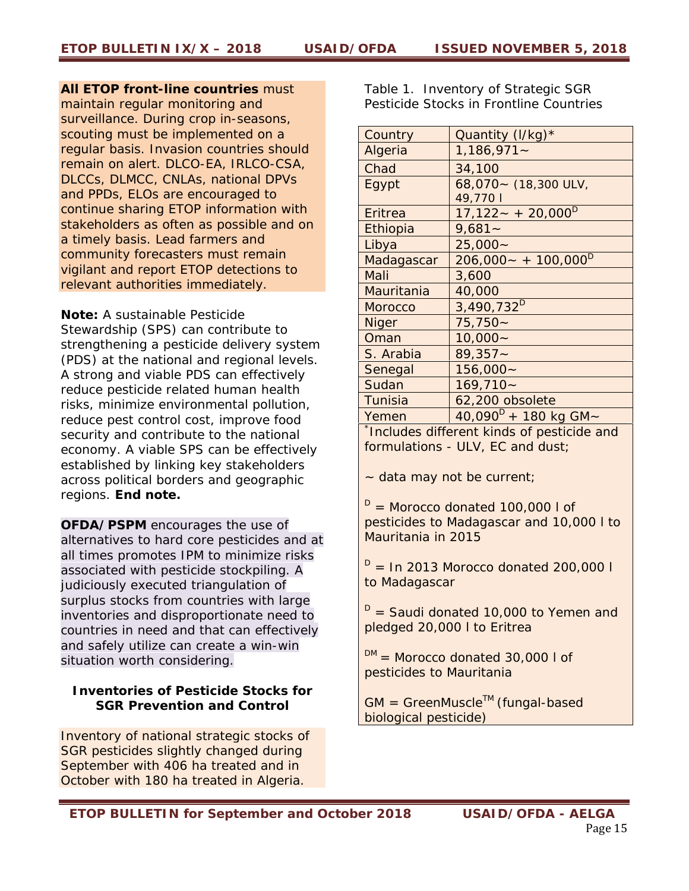*All ETOP front-line countries must maintain regular monitoring and surveillance. During crop in-seasons, scouting must be implemented on a regular basis. Invasion countries should remain on alert. DLCO-EA, IRLCO-CSA, DLCCs, DLMCC, CNLAs, national DPVs and PPDs, ELOs are encouraged to continue sharing ETOP information with stakeholders as often as possible and on a timely basis. Lead farmers and community forecasters must remain vigilant and report ETOP detections to relevant authorities immediately.* 

*Note: A sustainable Pesticide Stewardship (SPS) can contribute to strengthening a pesticide delivery system (PDS) at the national and regional levels. A strong and viable PDS can effectively reduce pesticide related human health risks, minimize environmental pollution, reduce pest control cost, improve food security and contribute to the national economy. A viable SPS can be effectively established by linking key stakeholders across political borders and geographic regions. End note.* 

**OFDA/PSPM** encourages the use of alternatives to hard core pesticides and at all times promotes IPM to minimize risks associated with pesticide stockpiling. A judiciously executed triangulation of surplus stocks from countries with large inventories and disproportionate need to countries in need and that can effectively and safely utilize can create a win-win situation worth considering.

# **Inventories of Pesticide Stocks for SGR Prevention and Control**

Inventory of national strategic stocks of SGR pesticides slightly changed during September with 406 ha treated and in October with 180 ha treated in Algeria.

Table 1. Inventory of Strategic SGR Pesticide Stocks in Frontline Countries

| Country                                   | Quantity (I/kg)*                   |
|-------------------------------------------|------------------------------------|
| Algeria                                   | $1,186,971-$                       |
| Chad                                      | 34,100                             |
| Egypt                                     | 68,070~ (18,300 ULV,               |
|                                           | 49,770                             |
| Eritrea                                   | $17,122 - +20,000$ <sup>D</sup>    |
| Ethiopia                                  | $9,681 -$                          |
| Libya                                     | $25,000 -$                         |
| Madagascar                                | $206,000 - + 100,000$ <sup>D</sup> |
| Mali                                      | 3,600                              |
| Mauritania                                | 40,000                             |
| <b>Morocco</b>                            | 3,490,732 <sup>D</sup>             |
| <b>Niger</b>                              | $75,750-$                          |
| Oman                                      | $10,000 -$                         |
| S. Arabia                                 | $89,357 -$                         |
| Senegal                                   | $156,000 -$                        |
| Sudan                                     | $169,710-$                         |
| Tunisia                                   | 62,200 obsolete                    |
| Yemen                                     | $40,090^{D} + 180$ kg GM ~         |
| Includes different kinds of pesticide and |                                    |

formulations - ULV, EC and dust;

~ data may not be current;

 $D =$  Morocco donated 100,000 l of pesticides to Madagascar and 10,000 l to Mauritania in 2015

 $D =$  In 2013 Morocco donated 200,000 l to Madagascar

 $D =$  Saudi donated 10,000 to Yemen and pledged 20,000 l to Eritrea

 $DM =$  Morocco donated 30,000 l of pesticides to Mauritania

GM = *GreenMuscle*TM (fungal-based biological pesticide)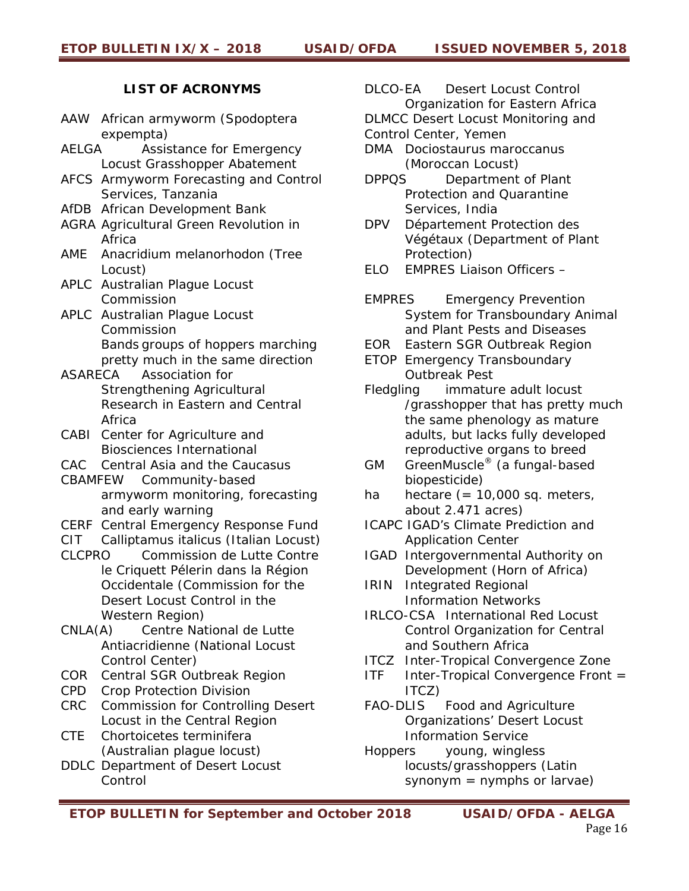# **LIST OF ACRONYMS**

- *AAW African armyworm (Spodoptera expempta)*
- *AELGA Assistance for Emergency Locust Grasshopper Abatement*
- *AFCS Armyworm Forecasting and Control Services, Tanzania*
- *AfDB African Development Bank*
- *AGRA Agricultural Green Revolution in Africa*
- *AME Anacridium melanorhodon (Tree Locust)*
- *APLC Australian Plague Locust Commission*
- *APLC Australian Plague Locust Commission Bands groups of hoppers marching pretty much in the same direction*
- *ASARECA Association for Strengthening Agricultural Research in Eastern and Central Africa*
- *CABI Center for Agriculture and Biosciences International*
- *CAC Central Asia and the Caucasus*
- *CBAMFEW Community-based armyworm monitoring, forecasting and early warning*
- *CERF Central Emergency Response Fund*
- *CIT Calliptamus italicus (Italian Locust)*
- *CLCPRO Commission de Lutte Contre le Criquett Pélerin dans la Région Occidentale (Commission for the Desert Locust Control in the Western Region)*
- *CNLA(A) Centre National de Lutte Antiacridienne (National Locust Control Center)*
- *COR Central SGR Outbreak Region*
- *CPD Crop Protection Division*
- *CRC Commission for Controlling Desert Locust in the Central Region*
- *CTE Chortoicetes terminifera (Australian plague locust)*
- *DDLC Department of Desert Locust Control*

*DLCO-EA Desert Locust Control Organization for Eastern Africa DLMCC Desert Locust Monitoring and* 

*Control Center, Yemen* 

- *DMA Dociostaurus maroccanus (Moroccan Locust)*
- *DPPQS Department of Plant Protection and Quarantine Services, India*
- *DPV Département Protection des Végétaux (Department of Plant Protection)*
- *ELO EMPRES Liaison Officers*
- *EMPRES Emergency Prevention System for Transboundary Animal and Plant Pests and Diseases*
- *EOR Eastern SGR Outbreak Region*
- *ETOP Emergency Transboundary Outbreak Pest*
- *Fledgling immature adult locust /grasshopper that has pretty much the same phenology as mature adults, but lacks fully developed reproductive organs to breed*
- *GM GreenMuscle® (a fungal-based biopesticide)*
- *ha hectare (= 10,000 sq. meters, about 2.471 acres)*
- *ICAPC IGAD's Climate Prediction and Application Center*
- *IGAD Intergovernmental Authority on Development (Horn of Africa)*
- *IRIN Integrated Regional Information Networks*
- *IRLCO-CSA International Red Locust Control Organization for Central and Southern Africa*
- *ITCZ Inter-Tropical Convergence Zone*
- *ITF Inter-Tropical Convergence Front = ITCZ)*
- *FAO-DLIS Food and Agriculture Organizations' Desert Locust Information Service*
- *Hoppers young, wingless locusts/grasshoppers (Latin synonym = nymphs or larvae)*
- *ETOP BULLETIN for September and October 2018 USAID/OFDA AELGA*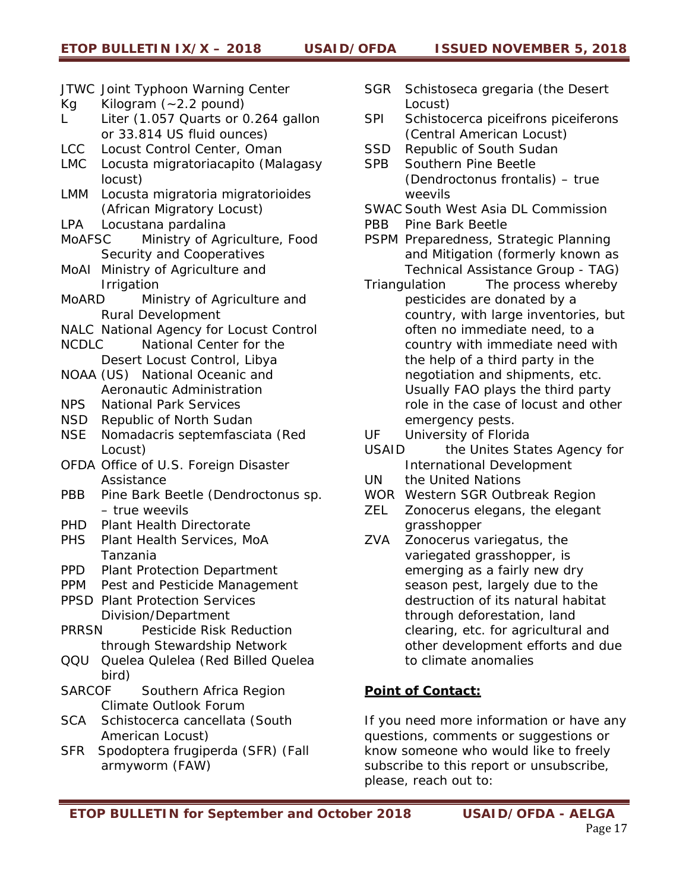- *JTWC Joint Typhoon Warning Center*
- *Kg Kilogram (~2.2 pound)*
- *L Liter (1.057 Quarts or 0.264 gallon or 33.814 US fluid ounces)*
- *LCC Locust Control Center, Oman*
- *LMC Locusta migratoriacapito (Malagasy locust)*
- *LMM Locusta migratoria migratorioides (African Migratory Locust)*
- *LPA Locustana pardalina*
- *MoAFSC Ministry of Agriculture, Food Security and Cooperatives*
- *MoAI Ministry of Agriculture and Irrigation*
- *MoARD Ministry of Agriculture and Rural Development*
- *NALC National Agency for Locust Control*
- *NCDLC National Center for the Desert Locust Control, Libya*
- *NOAA (US) National Oceanic and Aeronautic Administration*
- *NPS National Park Services*
- *NSD Republic of North Sudan*
- *NSE Nomadacris septemfasciata (Red Locust)*
- *OFDA Office of U.S. Foreign Disaster Assistance*
- *PBB Pine Bark Beetle (Dendroctonus sp. – true weevils*
- *PHD Plant Health Directorate*
- *PHS Plant Health Services, MoA Tanzania*
- *PPD Plant Protection Department*
- *PPM Pest and Pesticide Management*
- *PPSD Plant Protection Services Division/Department*
- *PRRSN Pesticide Risk Reduction through Stewardship Network*
- *QQU Quelea Qulelea (Red Billed Quelea bird)*
- *SARCOF Southern Africa Region Climate Outlook Forum*
- *SCA Schistocerca cancellata (South American Locust)*
- *SFR Spodoptera frugiperda (SFR) (Fall armyworm (FAW)*
- *SGR Schistoseca gregaria (the Desert Locust)*
- *SPI Schistocerca piceifrons piceiferons (Central American Locust)*
- *SSD Republic of South Sudan*
- *SPB Southern Pine Beetle (Dendroctonus frontalis) – true weevils*
- *SWAC South West Asia DL Commission*
- *PBB Pine Bark Beetle*
- *PSPM Preparedness, Strategic Planning and Mitigation (formerly known as Technical Assistance Group - TAG)*
- *Triangulation The process whereby pesticides are donated by a country, with large inventories, but often no immediate need, to a country with immediate need with the help of a third party in the negotiation and shipments, etc. Usually FAO plays the third party role in the case of locust and other emergency pests.*
- *UF University of Florida*
- *USAID the Unites States Agency for International Development*
- *UN the United Nations*
- *WOR Western SGR Outbreak Region*
- *ZEL Zonocerus elegans, the elegant grasshopper*
- *ZVA Zonocerus variegatus, the variegated grasshopper, is emerging as a fairly new dry season pest, largely due to the destruction of its natural habitat through deforestation, land clearing, etc. for agricultural and other development efforts and due to climate anomalies*

# **Point of Contact:**

If you need more information or have any questions, comments or suggestions or know someone who would like to freely subscribe to this report or unsubscribe, please, reach out to: